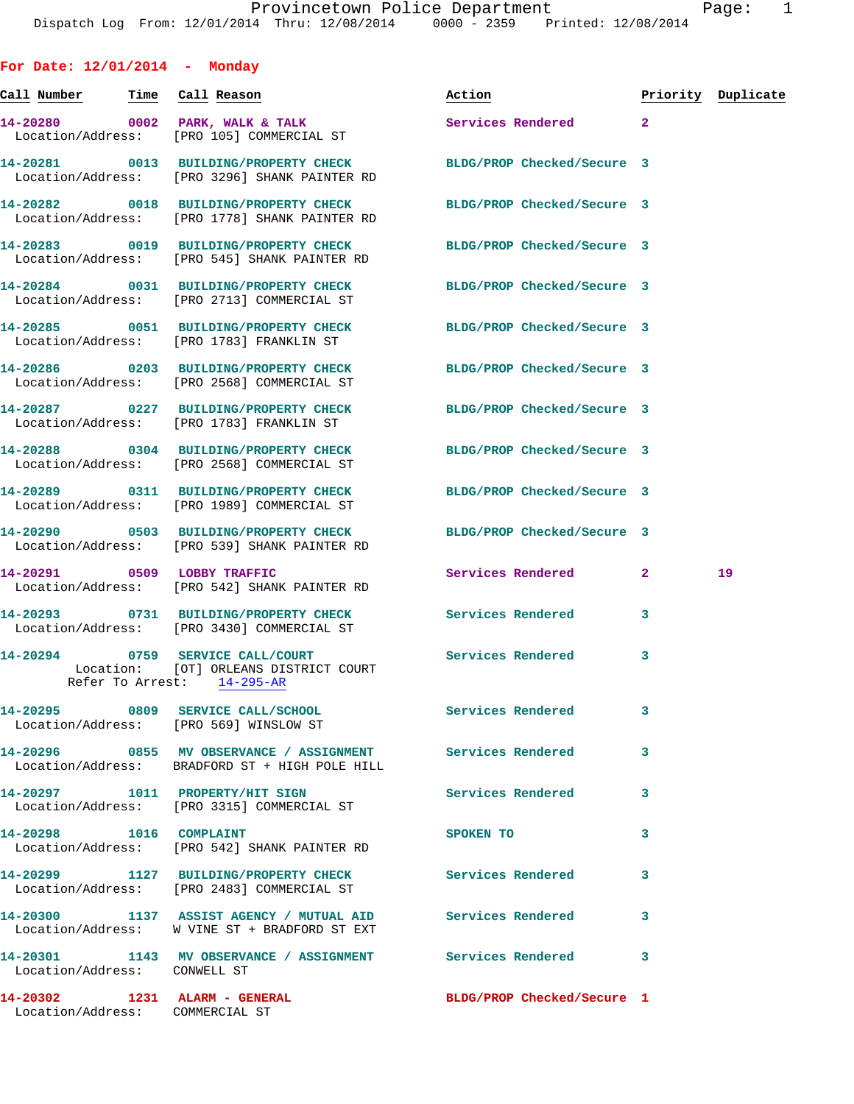| For Date: $12/01/2014$ - Monday        |                                                                                                                   |                            |   |                    |
|----------------------------------------|-------------------------------------------------------------------------------------------------------------------|----------------------------|---|--------------------|
|                                        | <u>Call Number — Time Call Reason</u>                                                                             | Action                     |   | Priority Duplicate |
|                                        | 14-20280 0002 PARK, WALK & TALK<br>Location/Address: [PRO 105] COMMERCIAL ST                                      | Services Rendered 2        |   |                    |
|                                        | 14-20281 0013 BUILDING/PROPERTY CHECK BLDG/PROP Checked/Secure 3<br>Location/Address: [PRO 3296] SHANK PAINTER RD |                            |   |                    |
|                                        | 14-20282 0018 BUILDING/PROPERTY CHECK<br>Location/Address: [PRO 1778] SHANK PAINTER RD                            | BLDG/PROP Checked/Secure 3 |   |                    |
|                                        | 14-20283 0019 BUILDING/PROPERTY CHECK<br>Location/Address: [PRO 545] SHANK PAINTER RD                             | BLDG/PROP Checked/Secure 3 |   |                    |
|                                        | 14-20284 0031 BUILDING/PROPERTY CHECK<br>Location/Address: [PRO 2713] COMMERCIAL ST                               | BLDG/PROP Checked/Secure 3 |   |                    |
|                                        | 14-20285 0051 BUILDING/PROPERTY CHECK<br>Location/Address: [PRO 1783] FRANKLIN ST                                 | BLDG/PROP Checked/Secure 3 |   |                    |
|                                        | 14-20286 0203 BUILDING/PROPERTY CHECK<br>Location/Address: [PRO 2568] COMMERCIAL ST                               | BLDG/PROP Checked/Secure 3 |   |                    |
|                                        | 14-20287 0227 BUILDING/PROPERTY CHECK BLDG/PROP Checked/Secure 3<br>Location/Address: [PRO 1783] FRANKLIN ST      |                            |   |                    |
|                                        | 14-20288 0304 BUILDING/PROPERTY CHECK<br>Location/Address: [PRO 2568] COMMERCIAL ST                               | BLDG/PROP Checked/Secure 3 |   |                    |
|                                        | 14-20289 0311 BUILDING/PROPERTY CHECK<br>Location/Address: [PRO 1989] COMMERCIAL ST                               | BLDG/PROP Checked/Secure 3 |   |                    |
|                                        | 14-20290 0503 BUILDING/PROPERTY CHECK BLDG/PROP Checked/Secure 3<br>Location/Address: [PRO 539] SHANK PAINTER RD  |                            |   |                    |
|                                        | 14-20291 0509 LOBBY TRAFFIC<br>Location/Address: [PRO 542] SHANK PAINTER RD                                       | Services Rendered 2        |   | 19                 |
|                                        | 14-20293 0731 BUILDING/PROPERTY CHECK Services Rendered<br>Location/Address: [PRO 3430] COMMERCIAL ST             |                            | 3 |                    |
|                                        | 14-20294 0759 SERVICE CALL/COURT<br>Location: [OT] ORLEANS DISTRICT COURT<br>Refer To Arrest: 14-295-AR           | Services Rendered          | 3 |                    |
| Location/Address: [PRO 569] WINSLOW ST | 14-20295 0809 SERVICE CALL/SCHOOL                                                                                 | <b>Services Rendered</b>   | 3 |                    |
|                                        | 14-20296 0855 MV OBSERVANCE / ASSIGNMENT Services Rendered<br>Location/Address: BRADFORD ST + HIGH POLE HILL      |                            | 3 |                    |
|                                        | 14-20297 1011 PROPERTY/HIT SIGN<br>Location/Address: [PRO 3315] COMMERCIAL ST                                     | <b>Services Rendered</b>   | 3 |                    |
|                                        | 14-20298 1016 COMPLAINT<br>Location/Address: [PRO 542] SHANK PAINTER RD                                           | SPOKEN TO                  | 3 |                    |
|                                        | 14-20299 1127 BUILDING/PROPERTY CHECK Services Rendered<br>Location/Address: [PRO 2483] COMMERCIAL ST             |                            | 3 |                    |
|                                        | 14-20300 1137 ASSIST AGENCY / MUTUAL AID Services Rendered<br>Location/Address: W VINE ST + BRADFORD ST EXT       |                            | 3 |                    |
|                                        | 14-20301 1143 MV OBSERVANCE / ASSIGNMENT Services Rendered 3                                                      |                            |   |                    |

Location/Address: CONWELL ST

Location/Address: COMMERCIAL ST

**14-20302 1231 ALARM - GENERAL BLDG/PROP Checked/Secure 1**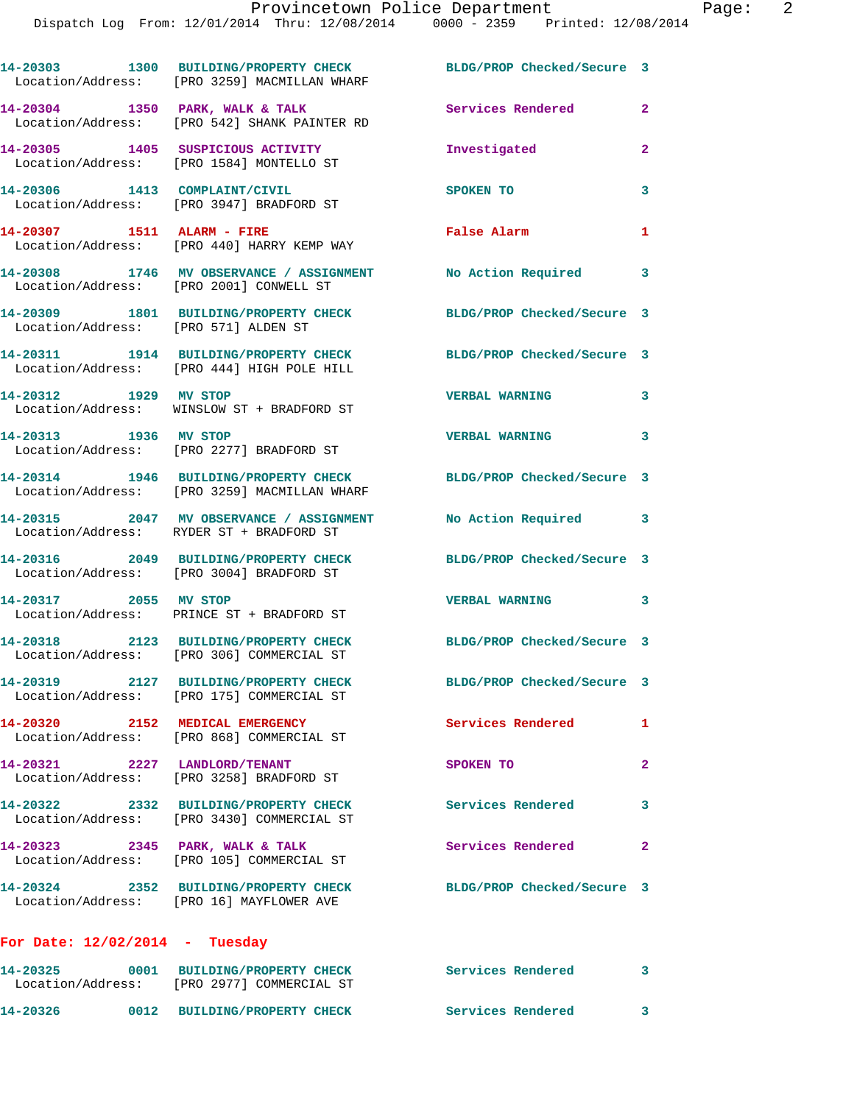**14-20303 1300 BUILDING/PROPERTY CHECK BLDG/PROP Checked/Secure 3**  Location/Address: [PRO 3259] MACMILLAN WHARF 14-20304 1350 PARK, WALK & TALK **Services Rendered** 2 Location/Address: [PRO 542] SHANK PAINTER RD **14-20305 1405 SUSPICIOUS ACTIVITY Investigated 2**  Location/Address: [PRO 1584] MONTELLO ST **14-20306 1413 COMPLAINT/CIVIL SPOKEN TO 3**  Location/Address: [PRO 3947] BRADFORD ST **14-20307 1511 ALARM - FIRE False Alarm 1**  Location/Address: [PRO 440] HARRY KEMP WAY **14-20308 1746 MV OBSERVANCE / ASSIGNMENT No Action Required 3**  Location/Address: [PRO 2001] CONWELL ST **14-20309 1801 BUILDING/PROPERTY CHECK BLDG/PROP Checked/Secure 3**  Location/Address: [PRO 571] ALDEN ST **14-20311 1914 BUILDING/PROPERTY CHECK BLDG/PROP Checked/Secure 3**  Location/Address: [PRO 444] HIGH POLE HILL **14-20312 1929 MV STOP VERBAL WARNING 3**  Location/Address: WINSLOW ST + BRADFORD ST **14-20313 1936 MV STOP VERBAL WARNING 3**  Location/Address: [PRO 2277] BRADFORD ST **14-20314 1946 BUILDING/PROPERTY CHECK BLDG/PROP Checked/Secure 3**  Location/Address: [PRO 3259] MACMILLAN WHARF **14-20315 2047 MV OBSERVANCE / ASSIGNMENT No Action Required 3**  Location/Address: RYDER ST + BRADFORD ST **14-20316 2049 BUILDING/PROPERTY CHECK BLDG/PROP Checked/Secure 3**  Location/Address: [PRO 3004] BRADFORD ST **14-20317 2055 MV STOP VERBAL WARNING 3**  Location/Address: PRINCE ST + BRADFORD ST **14-20318 2123 BUILDING/PROPERTY CHECK BLDG/PROP Checked/Secure 3**  Location/Address: [PRO 306] COMMERCIAL ST **14-20319 2127 BUILDING/PROPERTY CHECK BLDG/PROP Checked/Secure 3**  Location/Address: [PRO 175] COMMERCIAL ST **14-20320 2152 MEDICAL EMERGENCY Services Rendered 1**  Location/Address: [PRO 868] COMMERCIAL ST **14-20321 2227 LANDLORD/TENANT SPOKEN TO 2**  Location/Address: [PRO 3258] BRADFORD ST **14-20322 2332 BUILDING/PROPERTY CHECK Services Rendered 3**  Location/Address: [PRO 3430] COMMERCIAL ST 14-20323 2345 PARK, WALK & TALK **Services Rendered** 2 Location/Address: [PRO 105] COMMERCIAL ST **14-20324 2352 BUILDING/PROPERTY CHECK BLDG/PROP Checked/Secure 3**  Location/Address: [PRO 16] MAYFLOWER AVE **For Date: 12/02/2014 - Tuesday 14-20325 0001 BUILDING/PROPERTY CHECK Services Rendered 3**  Location/Address: [PRO 2977] COMMERCIAL ST

**14-20326 0012 BUILDING/PROPERTY CHECK Services Rendered 3**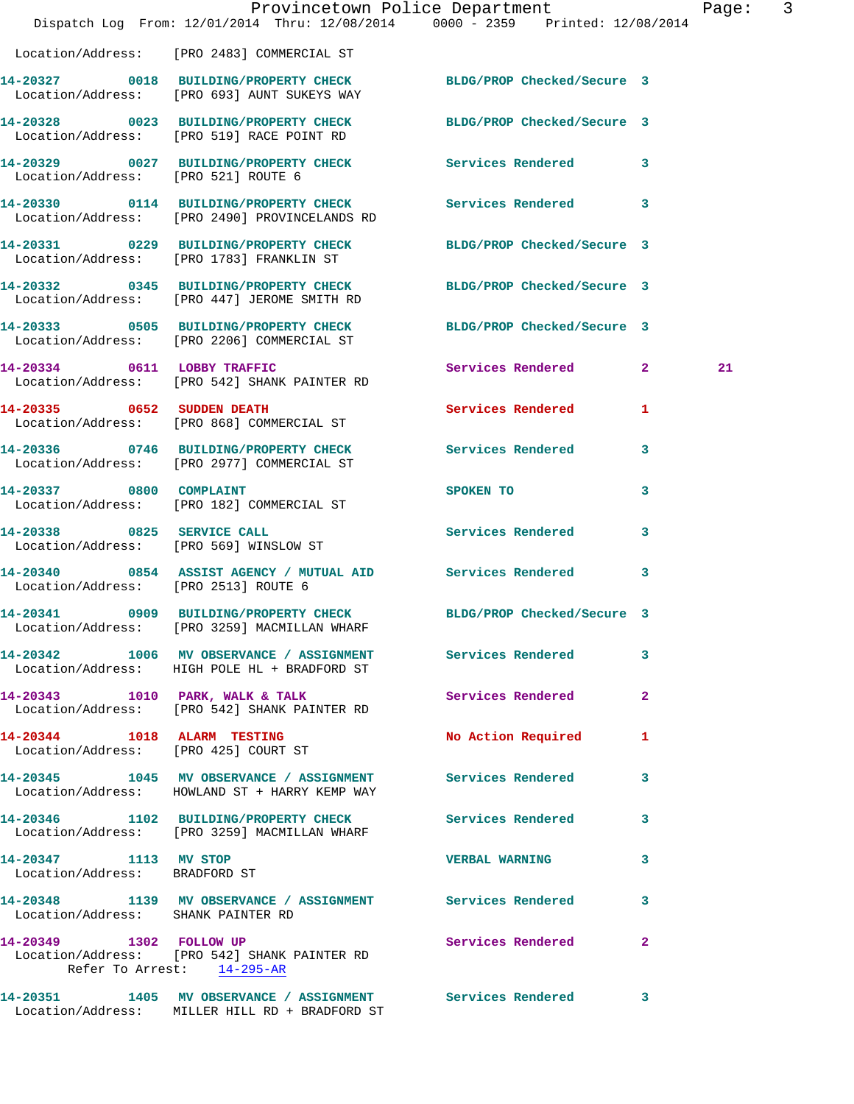|                                                        | Dispatch Log From: 12/01/2014 Thru: 12/08/2014 0000 - 2359 Printed: 12/08/2014                                   | Provincetown Police Department |              | Page: 3 |  |
|--------------------------------------------------------|------------------------------------------------------------------------------------------------------------------|--------------------------------|--------------|---------|--|
|                                                        | Location/Address: [PRO 2483] COMMERCIAL ST                                                                       |                                |              |         |  |
|                                                        | 14-20327 0018 BUILDING/PROPERTY CHECK BLDG/PROP Checked/Secure 3<br>Location/Address: [PRO 693] AUNT SUKEYS WAY  |                                |              |         |  |
|                                                        | 14-20328 0023 BUILDING/PROPERTY CHECK BLDG/PROP Checked/Secure 3<br>Location/Address: [PRO 519] RACE POINT RD    |                                |              |         |  |
| Location/Address: [PRO 521] ROUTE 6                    | 14-20329 0027 BUILDING/PROPERTY CHECK Services Rendered 3                                                        |                                |              |         |  |
|                                                        | 14-20330 0114 BUILDING/PROPERTY CHECK Services Rendered 3<br>Location/Address: [PRO 2490] PROVINCELANDS RD       |                                |              |         |  |
|                                                        | 14-20331 0229 BUILDING/PROPERTY CHECK BLDG/PROP Checked/Secure 3<br>Location/Address: [PRO 1783] FRANKLIN ST     |                                |              |         |  |
|                                                        | 14-20332 0345 BUILDING/PROPERTY CHECK BLDG/PROP Checked/Secure 3<br>Location/Address: [PRO 447] JEROME SMITH RD  |                                |              |         |  |
|                                                        | 14-20333 0505 BUILDING/PROPERTY CHECK BLDG/PROP Checked/Secure 3<br>Location/Address: [PRO 2206] COMMERCIAL ST   |                                |              |         |  |
|                                                        | 14-20334 0611 LOBBY TRAFFIC<br>Location/Address: [PRO 542] SHANK PAINTER RD                                      | Services Rendered 2            |              | 21      |  |
|                                                        | 14-20335 0652 SUDDEN DEATH<br>Location/Address: [PRO 868] COMMERCIAL ST                                          | Services Rendered 1            |              |         |  |
|                                                        | 14-20336 0746 BUILDING/PROPERTY CHECK Services Rendered 3<br>Location/Address: [PRO 2977] COMMERCIAL ST          |                                |              |         |  |
|                                                        | 14-20337 0800 COMPLAINT<br>Location/Address: [PRO 182] COMMERCIAL ST                                             | SPOKEN TO                      | 3            |         |  |
| 14-20338 0825 SERVICE CALL                             | Location/Address: [PRO 569] WINSLOW ST                                                                           | Services Rendered 3            |              |         |  |
| Location/Address: [PRO 2513] ROUTE 6                   | 14-20340 0854 ASSIST AGENCY / MUTUAL AID Services Rendered 3                                                     |                                |              |         |  |
|                                                        | 14-20341 0909 BUILDING/PROPERTY CHECK BLDG/PROP Checked/Secure 3<br>Location/Address: [PRO 3259] MACMILLAN WHARF |                                |              |         |  |
|                                                        | 14-20342 1006 MV OBSERVANCE / ASSIGNMENT Services Rendered 3<br>Location/Address: HIGH POLE HL + BRADFORD ST     |                                |              |         |  |
|                                                        | 14-20343 1010 PARK, WALK & TALK<br>Location/Address: [PRO 542] SHANK PAINTER RD                                  | <b>Services Rendered</b>       | $\mathbf{2}$ |         |  |
|                                                        | 14-20344 1018 ALARM TESTING<br>Location/Address: [PRO 425] COURT ST                                              | No Action Required             | $\mathbf{1}$ |         |  |
|                                                        | 14-20345 1045 MV OBSERVANCE / ASSIGNMENT Services Rendered 3<br>Location/Address: HOWLAND ST + HARRY KEMP WAY    |                                |              |         |  |
|                                                        | 14-20346 1102 BUILDING/PROPERTY CHECK Services Rendered 3<br>Location/Address: [PRO 3259] MACMILLAN WHARF        |                                |              |         |  |
| 14-20347 1113 MV STOP<br>Location/Address: BRADFORD ST |                                                                                                                  | VERBAL WARNING 3               |              |         |  |
| Location/Address: SHANK PAINTER RD                     | 14-20348 1139 MV OBSERVANCE / ASSIGNMENT Services Rendered                                                       |                                | 3            |         |  |
| 14-20349 1302 FOLLOW UP                                | Location/Address: [PRO 542] SHANK PAINTER RD<br>Refer To Arrest: 14-295-AR                                       | Services Rendered 2            |              |         |  |
|                                                        | 14-20351 1405 MV OBSERVANCE / ASSIGNMENT Services Rendered 3<br>Location/Address: MILLER HILL RD + BRADFORD ST   |                                |              |         |  |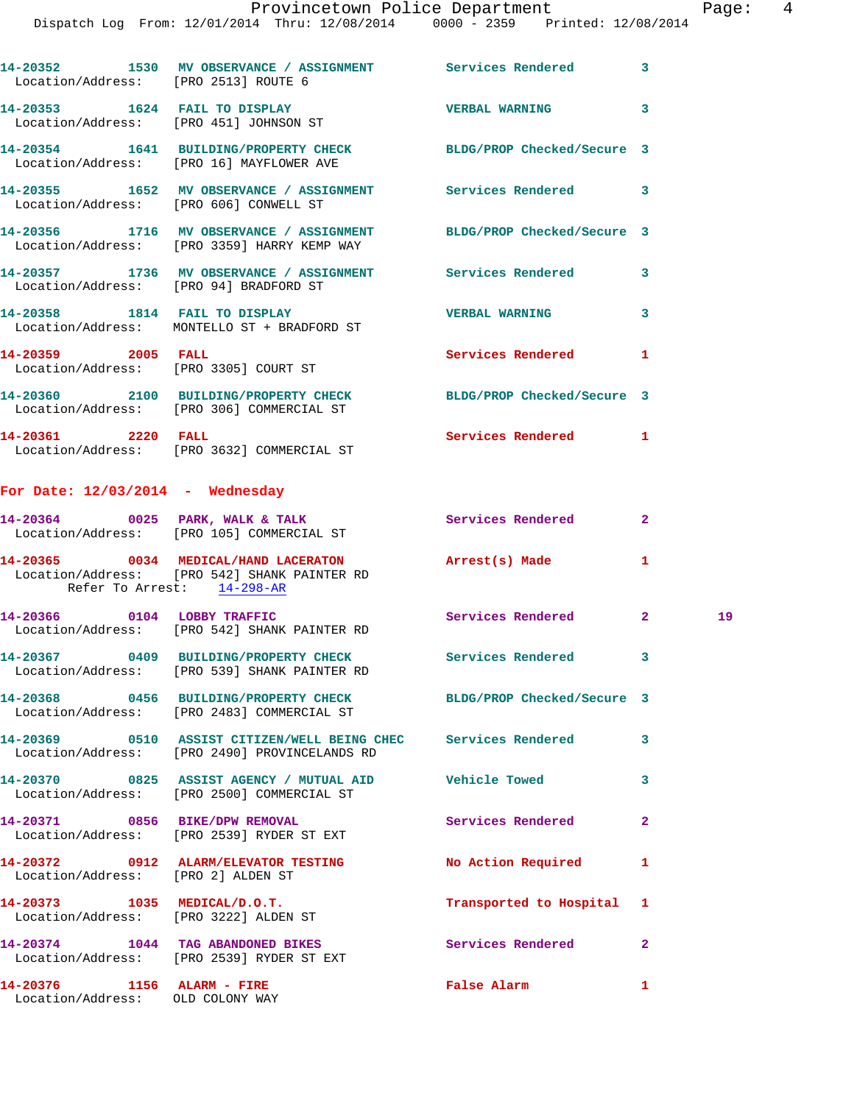Dispatch Log From: 12/01/2014 Thru: 12/08/2014 0000 - 2359 Printed: 12/08/2014

|                    | 14-20352 1530 MV OBSERVANCE / ASSIGNMENT Services Rendered 3<br>Location/Address: [PRO 2513] ROUTE 6                              |                         |              |    |
|--------------------|-----------------------------------------------------------------------------------------------------------------------------------|-------------------------|--------------|----|
|                    | 14-20353 1624 FAIL TO DISPLAY<br>Location/Address: [PRO 451] JOHNSON ST                                                           | <b>VERBAL WARNING</b>   | 3            |    |
|                    | 14-20354 1641 BUILDING/PROPERTY CHECK BLDG/PROP Checked/Secure 3<br>Location/Address: [PRO 16] MAYFLOWER AVE                      |                         |              |    |
|                    | 14-20355 1652 MV OBSERVANCE / ASSIGNMENT Services Rendered 3<br>Location/Address: [PRO 606] CONWELL ST                            |                         |              |    |
|                    | 14-20356 1716 MV OBSERVANCE / ASSIGNMENT BLDG/PROP Checked/Secure 3<br>Location/Address: [PRO 3359] HARRY KEMP WAY                |                         |              |    |
|                    | 14-20357 1736 MV OBSERVANCE / ASSIGNMENT Services Rendered 3<br>Location/Address: [PRO 94] BRADFORD ST                            |                         |              |    |
|                    | 14-20358 1814 FAIL TO DISPLAY<br>Location/Address: MONTELLO ST + BRADFORD ST                                                      | <b>VERBAL WARNING</b>   | 3            |    |
|                    | 14-20359 2005 FALL<br>Location/Address: [PRO 3305] COURT ST                                                                       | Services Rendered 1     |              |    |
|                    | 14-20360 2100 BUILDING/PROPERTY CHECK BLDG/PROP Checked/Secure 3<br>Location/Address: [PRO 306] COMMERCIAL ST                     |                         |              |    |
| 14-20361 2220 FALL | Location/Address: [PRO 3632] COMMERCIAL ST                                                                                        | Services Rendered 1     |              |    |
|                    | For Date: $12/03/2014$ - Wednesday                                                                                                |                         |              |    |
|                    | $14-20364$ 0025 PARK, WALK & TALK<br>Location/Address: [PRO 105] COMMERCIAL ST                                                    | Services Rendered       | $\mathbf{2}$ |    |
|                    | 14-20365 0034 MEDICAL/HAND LACERATON Arrest(s) Made<br>Location/Address: [PRO 542] SHANK PAINTER RD<br>Refer To Arrest: 14-298-AR |                         | 1            |    |
|                    | 14-20366 0104 LOBBY TRAFFIC<br>Location/Address: [PRO 542] SHANK PAINTER RD                                                       | Services Rendered 2     |              | 19 |
|                    | 14-20367 0409 BUILDING/PROPERTY CHECK Services Rendered 3<br>Location/Address: [PRO 539] SHANK PAINTER RD                         |                         |              |    |
|                    | 14-20368 0456 BUILDING/PROPERTY CHECK BLDG/PROP Checked/Secure 3<br>Location/Address: [PRO 2483] COMMERCIAL ST                    |                         |              |    |
|                    | 14-20369 0510 ASSIST CITIZEN/WELL BEING CHEC Services Rendered<br>Location/Address: [PRO 2490] PROVINCELANDS RD                   |                         | 3            |    |
|                    | 14-20370 0825 ASSIST AGENCY / MUTUAL AID Vehicle Towed<br>Location/Address: [PRO 2500] COMMERCIAL ST                              |                         | 3            |    |
|                    | 14-20371 0856 BIKE/DPW REMOVAL<br>Location/Address: [PRO 2539] RYDER ST EXT                                                       | Services Rendered       | 2            |    |
|                    | 14-20372 0912 ALARM/ELEVATOR TESTING No Action Required<br>Location/Address: [PRO 2] ALDEN ST                                     |                         | 1            |    |
|                    | 14-20373 1035 MEDICAL/D.O.T.<br>Location/Address: [PRO 3222] ALDEN ST                                                             | Transported to Hospital | 1            |    |
|                    | 14-20374 1044 TAG ABANDONED BIKES<br>Location/Address: [PRO 2539] RYDER ST EXT                                                    | Services Rendered       | 2            |    |
|                    | $14-20376$ 1156 ALARM - FIRE<br>Location/Address: OLD COLONY WAY                                                                  | False Alarm             | 1            |    |
|                    |                                                                                                                                   |                         |              |    |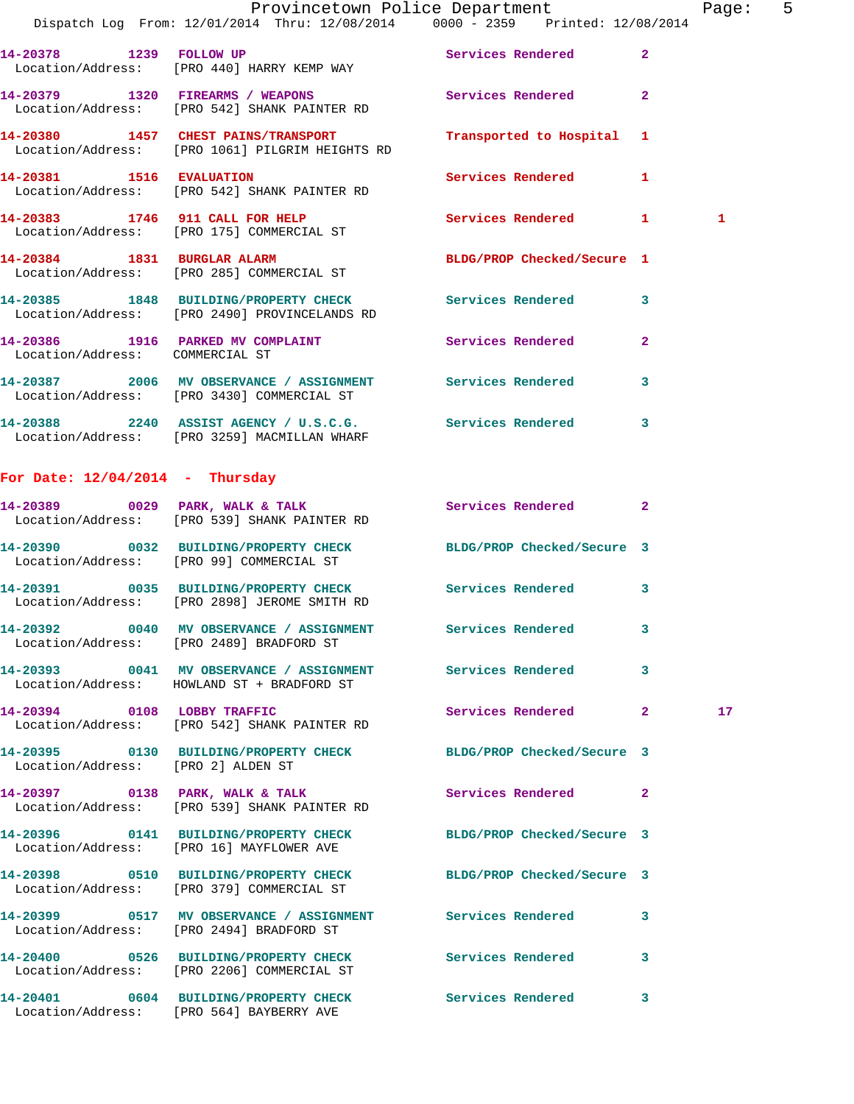|                                    | Provincetown Police Department<br>Dispatch Log From: 12/01/2014 Thru: 12/08/2014 0000 - 2359 Printed: 12/08/2014 |                            |                | Page: 5         |  |
|------------------------------------|------------------------------------------------------------------------------------------------------------------|----------------------------|----------------|-----------------|--|
|                                    | 14-20378 1239 FOLLOW UP Services Rendered 2<br>Location/Address: [PRO 440] HARRY KEMP WAY                        |                            |                |                 |  |
|                                    | 14-20379 1320 FIREARMS / WEAPONS Services Rendered 2<br>Location/Address: [PRO 542] SHANK PAINTER RD             |                            |                |                 |  |
|                                    | 14-20380 1457 CHEST PAINS/TRANSPORT<br>Location/Address: [PRO 1061] PILGRIM HEIGHTS RD                           | Transported to Hospital 1  |                |                 |  |
|                                    | 14-20381 1516 EVALUATION<br>Location/Address: [PRO 542] SHANK PAINTER RD                                         | Services Rendered 1        |                |                 |  |
|                                    | 14-20383 1746 911 CALL FOR HELP<br>Location/Address: [PRO 175] COMMERCIAL ST                                     | Services Rendered 1        |                | $\mathbf{1}$    |  |
|                                    | 14-20384 1831 BURGLAR ALARM<br>Location/Address: [PRO 285] COMMERCIAL ST                                         | BLDG/PROP Checked/Secure 1 |                |                 |  |
|                                    | 14-20385 1848 BUILDING/PROPERTY CHECK Services Rendered 3<br>Location/Address: [PRO 2490] PROVINCELANDS RD       |                            |                |                 |  |
| Location/Address: COMMERCIAL ST    | 14-20386 1916 PARKED MV COMPLAINT Services Rendered                                                              |                            | $\overline{2}$ |                 |  |
|                                    | 14-20387 2006 MV OBSERVANCE / ASSIGNMENT Services Rendered 3<br>Location/Address: [PRO 3430] COMMERCIAL ST       |                            |                |                 |  |
|                                    | 14-20388 2240 ASSIST AGENCY / U.S.C.G. Services Rendered 3<br>Location/Address: [PRO 3259] MACMILLAN WHARF       |                            |                |                 |  |
| For Date: $12/04/2014$ - Thursday  |                                                                                                                  |                            |                |                 |  |
|                                    | 14-20389 0029 PARK, WALK & TALK<br>Location/Address: [PRO 539] SHANK PAINTER RD                                  | Services Rendered 2        |                |                 |  |
|                                    | 14-20390 0032 BUILDING/PROPERTY CHECK BLDG/PROP Checked/Secure 3<br>Location/Address: [PRO 99] COMMERCIAL ST     |                            |                |                 |  |
|                                    | 14-20391 0035 BUILDING/PROPERTY CHECK Services Rendered 3<br>Location/Address: [PRO 2898] JEROME SMITH RD        |                            |                |                 |  |
|                                    | 14-20392 0040 MV OBSERVANCE / ASSIGNMENT Services Rendered 3<br>Location/Address: [PRO 2489] BRADFORD ST         |                            |                |                 |  |
|                                    | 14-20393 0041 MV OBSERVANCE / ASSIGNMENT Services Rendered 3<br>Location/Address: HOWLAND ST + BRADFORD ST       |                            |                |                 |  |
|                                    | 14-20394 0108 LOBBY TRAFFIC<br>Location/Address: [PRO 542] SHANK PAINTER RD                                      | Services Rendered 2        |                | 17 <sub>1</sub> |  |
| Location/Address: [PRO 2] ALDEN ST | 14-20395 0130 BUILDING/PROPERTY CHECK BLDG/PROP Checked/Secure 3                                                 |                            |                |                 |  |
|                                    | 14-20397 0138 PARK, WALK & TALK<br>Location/Address: [PRO 539] SHANK PAINTER RD                                  | Services Rendered 2        |                |                 |  |
|                                    | 14-20396 0141 BUILDING/PROPERTY CHECK BLDG/PROP Checked/Secure 3<br>Location/Address: [PRO 16] MAYFLOWER AVE     |                            |                |                 |  |
|                                    | 14-20398 0510 BUILDING/PROPERTY CHECK BLDG/PROP Checked/Secure 3<br>Location/Address: [PRO 379] COMMERCIAL ST    |                            |                |                 |  |
|                                    | 14-20399 0517 MV OBSERVANCE / ASSIGNMENT Services Rendered<br>Location/Address: [PRO 2494] BRADFORD ST           |                            | 3              |                 |  |
|                                    | 14-20400 0526 BUILDING/PROPERTY CHECK Services Rendered 3<br>Location/Address: [PRO 2206] COMMERCIAL ST          |                            |                |                 |  |
|                                    | 14-20401 0604 BUILDING/PROPERTY CHECK Services Rendered 3                                                        |                            |                |                 |  |

Location/Address: [PRO 564] BAYBERRY AVE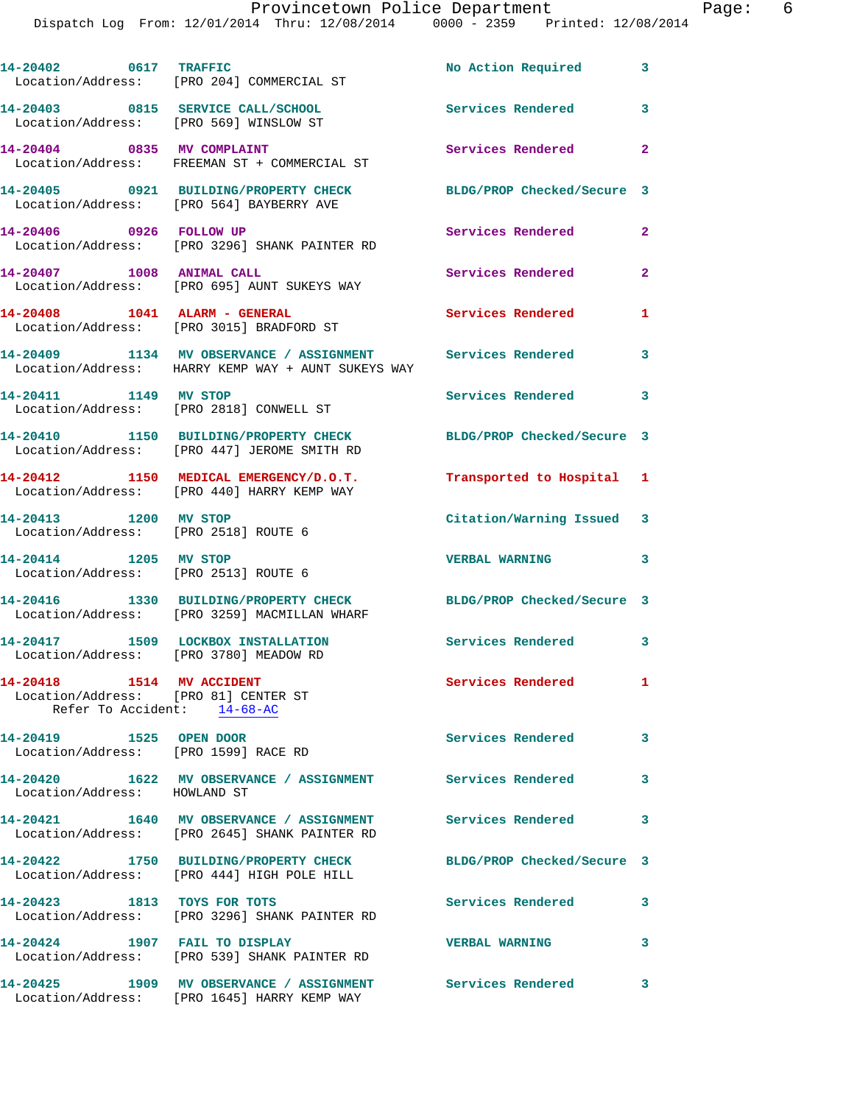|                                                                                                        | 14-20402 0617 TRAFFIC<br>Location/Address: [PRO 204] COMMERCIAL ST                                          | No Action Required 3       |                |
|--------------------------------------------------------------------------------------------------------|-------------------------------------------------------------------------------------------------------------|----------------------------|----------------|
|                                                                                                        | 14-20403 0815 SERVICE CALL/SCHOOL<br>Location/Address: [PRO 569] WINSLOW ST                                 | Services Rendered          | 3              |
|                                                                                                        | 14-20404 0835 MV COMPLAINT<br>Location/Address: FREEMAN ST + COMMERCIAL ST                                  | Services Rendered          | $\mathbf{2}$   |
|                                                                                                        | 14-20405 0921 BUILDING/PROPERTY CHECK<br>Location/Address: [PRO 564] BAYBERRY AVE                           | BLDG/PROP Checked/Secure 3 |                |
|                                                                                                        | 14-20406 0926 FOLLOW UP<br>Location/Address: [PRO 3296] SHANK PAINTER RD                                    | Services Rendered          | $\overline{a}$ |
| 14-20407 1008 ANIMAL CALL                                                                              | Location/Address: [PRO 695] AUNT SUKEYS WAY                                                                 | Services Rendered          | $\overline{a}$ |
|                                                                                                        | 14-20408    1041    ALARM - GENERAL<br>Location/Address: [PRO 3015] BRADFORD ST                             | Services Rendered          | 1              |
|                                                                                                        | 14-20409 1134 MV OBSERVANCE / ASSIGNMENT<br>Location/Address: HARRY KEMP WAY + AUNT SUKEYS WAY              | <b>Services Rendered</b>   | 3              |
| 14-20411 1149 MV STOP                                                                                  | Location/Address: [PRO 2818] CONWELL ST                                                                     | Services Rendered          | 3              |
|                                                                                                        | 14-20410 1150 BUILDING/PROPERTY CHECK<br>Location/Address: [PRO 447] JEROME SMITH RD                        | BLDG/PROP Checked/Secure 3 |                |
|                                                                                                        | 14-20412 1150 MEDICAL EMERGENCY/D.O.T.<br>Location/Address: [PRO 440] HARRY KEMP WAY                        | Transported to Hospital 1  |                |
| 14-20413 1200 MV STOP<br>Location/Address: [PRO 2518] ROUTE 6                                          |                                                                                                             | Citation/Warning Issued 3  |                |
| 14-20414 1205 MV STOP<br>Location/Address: [PRO 2513] ROUTE 6                                          |                                                                                                             | <b>VERBAL WARNING</b>      | 3              |
|                                                                                                        | 14-20416 1330 BUILDING/PROPERTY CHECK<br>Location/Address: [PRO 3259] MACMILLAN WHARF                       | BLDG/PROP Checked/Secure 3 |                |
|                                                                                                        | 14-20417 1509 LOCKBOX INSTALLATION<br>Location/Address: [PRO 3780] MEADOW RD                                | Services Rendered 3        |                |
| 14-20418   1514   MV   ACCIDENT<br>Location/Address: [PRO 81] CENTER ST<br>Refer To Accident: 14-68-AC |                                                                                                             | Services Rendered          | $\mathbf{1}$   |
| 14-20419 1525 OPEN DOOR<br>Location/Address: [PRO 1599] RACE RD                                        |                                                                                                             | <b>Services Rendered</b>   | 3              |
| Location/Address: HOWLAND ST                                                                           | 14-20420 1622 MV OBSERVANCE / ASSIGNMENT Services Rendered 3                                                |                            |                |
|                                                                                                        | 14-20421 1640 MV OBSERVANCE / ASSIGNMENT Services Rendered<br>Location/Address: [PRO 2645] SHANK PAINTER RD |                            | 3              |
|                                                                                                        | 14-20422 1750 BUILDING/PROPERTY CHECK<br>Location/Address: [PRO 444] HIGH POLE HILL                         | BLDG/PROP Checked/Secure 3 |                |
| 14-20423 1813 TOYS FOR TOTS                                                                            | Location/Address: [PRO 3296] SHANK PAINTER RD                                                               | Services Rendered          | 3              |
| 14-20424 1907 FAIL TO DISPLAY                                                                          | Location/Address: [PRO 539] SHANK PAINTER RD                                                                | <b>VERBAL WARNING</b>      | 3              |
|                                                                                                        | 14-20425 1909 MV OBSERVANCE / ASSIGNMENT Services Rendered 3<br>Location/Address: [PRO 1645] HARRY KEMP WAY |                            |                |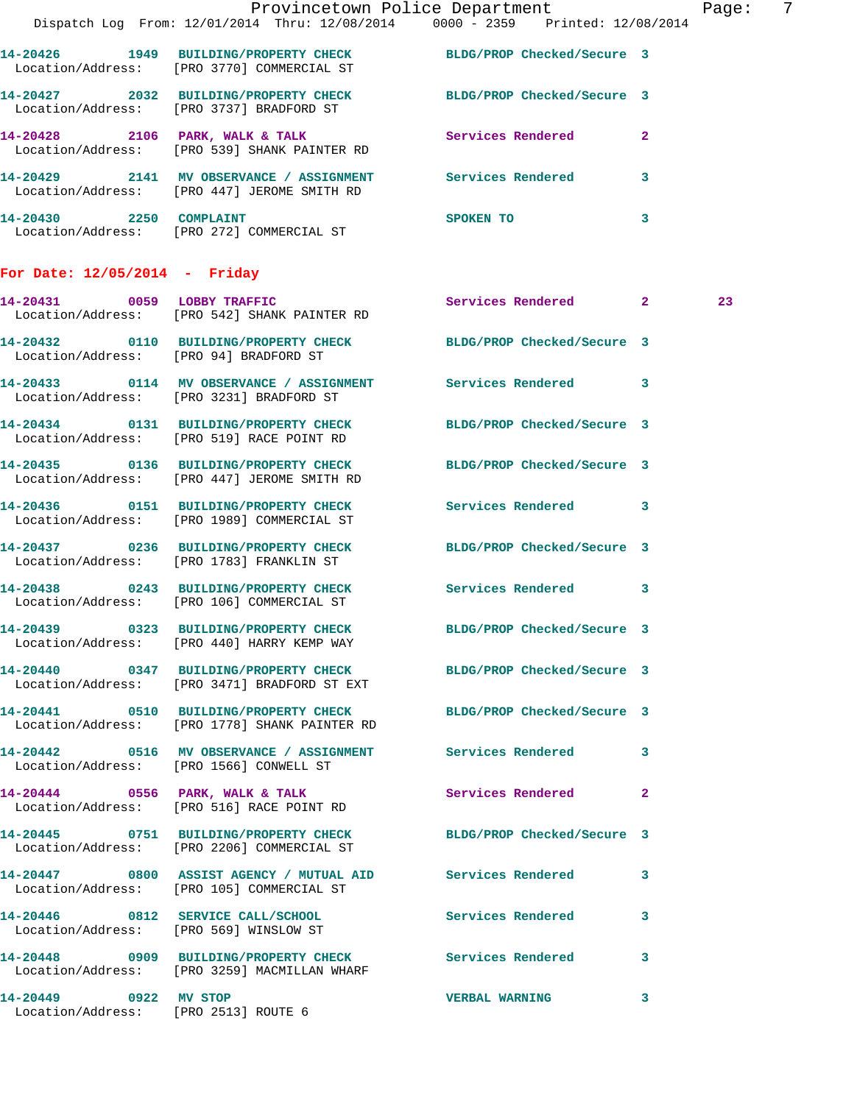|                                 |                                                                                                                   | Provincetown Police Department Fage:                                           | $\overline{7}$ |
|---------------------------------|-------------------------------------------------------------------------------------------------------------------|--------------------------------------------------------------------------------|----------------|
|                                 |                                                                                                                   | Dispatch Log From: 12/01/2014 Thru: 12/08/2014 0000 - 2359 Printed: 12/08/2014 |                |
|                                 | 14-20426 1949 BUILDING/PROPERTY CHECK BLDG/PROP Checked/Secure 3<br>Location/Address: [PRO 3770] COMMERCIAL ST    |                                                                                |                |
|                                 | 14-20427 2032 BUILDING/PROPERTY CHECK BLDG/PROP Checked/Secure 3<br>Location/Address: [PRO 3737] BRADFORD ST      |                                                                                |                |
|                                 | 14-20428 2106 PARK, WALK & TALK Services Rendered 2<br>Location/Address: [PRO 539] SHANK PAINTER RD               |                                                                                |                |
|                                 | 14-20429 2141 MV OBSERVANCE / ASSIGNMENT Services Rendered 3<br>Location/Address: [PRO 447] JEROME SMITH RD       |                                                                                |                |
|                                 | 14-20430 2250 COMPLAINT<br>Location/Address: [PRO 272] COMMERCIAL ST                                              | SPOKEN TO<br>$\mathbf{3}$                                                      |                |
| For Date: $12/05/2014$ - Friday |                                                                                                                   |                                                                                |                |
|                                 | 14-20431 0059 LOBBY TRAFFIC<br>Location/Address: [PRO 542] SHANK PAINTER RD                                       | Services Rendered 2                                                            | 23             |
|                                 | 14-20432 0110 BUILDING/PROPERTY CHECK BLDG/PROP Checked/Secure 3<br>Location/Address: [PRO 94] BRADFORD ST        |                                                                                |                |
|                                 | 14-20433 0114 MV OBSERVANCE / ASSIGNMENT Services Rendered 3<br>Location/Address: [PRO 3231] BRADFORD ST          |                                                                                |                |
|                                 | 14-20434 0131 BUILDING/PROPERTY CHECK BLDG/PROP Checked/Secure 3<br>Location/Address: [PRO 519] RACE POINT RD     |                                                                                |                |
|                                 | 14-20435 0136 BUILDING/PROPERTY CHECK BLDG/PROP Checked/Secure 3<br>Location/Address: [PRO 447] JEROME SMITH RD   |                                                                                |                |
|                                 | 14-20436 0151 BUILDING/PROPERTY CHECK Services Rendered 3<br>Location/Address: [PRO 1989] COMMERCIAL ST           |                                                                                |                |
|                                 | 14-20437 0236 BUILDING/PROPERTY CHECK BLDG/PROP Checked/Secure 3<br>Location/Address: [PRO 1783] FRANKLIN ST      |                                                                                |                |
|                                 | 14-20438 0243 BUILDING/PROPERTY CHECK Services Rendered 3<br>Location/Address: [PRO 106] COMMERCIAL ST            |                                                                                |                |
|                                 | 14-20439 0323 BUILDING/PROPERTY CHECK<br>Location/Address: [PRO 440] HARRY KEMP WAY                               | BLDG/PROP Checked/Secure 3                                                     |                |
|                                 | 14-20440 0347 BUILDING/PROPERTY CHECK BLDG/PROP Checked/Secure 3<br>Location/Address: [PRO 3471] BRADFORD ST EXT  |                                                                                |                |
|                                 | 14-20441 0510 BUILDING/PROPERTY CHECK BLDG/PROP Checked/Secure 3<br>Location/Address: [PRO 1778] SHANK PAINTER RD |                                                                                |                |
|                                 | 14-20442 0516 MV OBSERVANCE / ASSIGNMENT Services Rendered 3<br>Location/Address: [PRO 1566] CONWELL ST           |                                                                                |                |
|                                 | 14-20444 0556 PARK, WALK & TALK<br>Location/Address: [PRO 516] RACE POINT RD                                      | Services Rendered 2                                                            |                |
|                                 | 14-20445 0751 BUILDING/PROPERTY CHECK BLDG/PROP Checked/Secure 3<br>Location/Address: [PRO 2206] COMMERCIAL ST    |                                                                                |                |
|                                 | 14-20447 0800 ASSIST AGENCY / MUTUAL AID Services Rendered 3<br>Location/Address: [PRO 105] COMMERCIAL ST         |                                                                                |                |
|                                 | 14-20446 0812 SERVICE CALL/SCHOOL 5ervices Rendered 3<br>Location/Address: [PRO 569] WINSLOW ST                   |                                                                                |                |
|                                 | 14-20448 0909 BUILDING/PROPERTY CHECK Services Rendered 3<br>Location/Address: [PRO 3259] MACMILLAN WHARF         |                                                                                |                |
| 14-20449 0922 MV STOP           | Location/Address: [PRO 2513] ROUTE 6                                                                              | <b>VERBAL WARNING</b><br>$\mathbf{3}$                                          |                |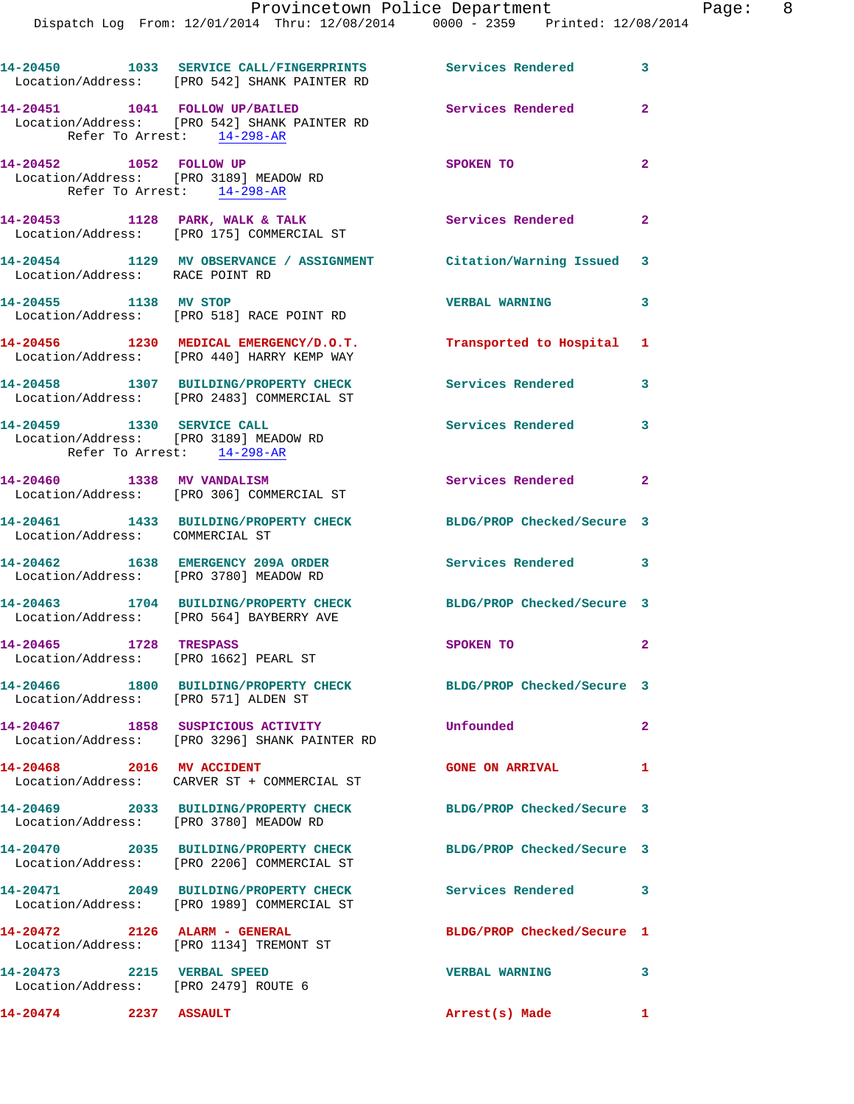|                                                                    | 14-20450 1033 SERVICE CALL/FINGERPRINTS Services Rendered 3<br>Location/Address: [PRO 542] SHANK PAINTER RD |                                   |                |
|--------------------------------------------------------------------|-------------------------------------------------------------------------------------------------------------|-----------------------------------|----------------|
| 14-20451   1041   FOLLOW UP/BAILED<br>Refer To Arrest: 14-298-AR   | Location/Address: [PRO 542] SHANK PAINTER RD                                                                | <b>Services Rendered</b>          | $\mathbf{2}$   |
| 14-20452 1052 FOLLOW UP<br>Location/Address: [PRO 3189] MEADOW RD  | Refer To Arrest: 14-298-AR                                                                                  | SPOKEN TO                         | $\overline{2}$ |
|                                                                    | 14-20453 1128 PARK, WALK & TALK<br>Location/Address: [PRO 175] COMMERCIAL ST                                | Services Rendered 2               |                |
| Location/Address: RACE POINT RD                                    | 14-20454 1129 MV OBSERVANCE / ASSIGNMENT Citation/Warning Issued 3                                          |                                   |                |
| 14-20455 1138 MV STOP                                              | Location/Address: [PRO 518] RACE POINT RD                                                                   | <b>VERBAL WARNING</b>             | 3              |
|                                                                    | 14-20456 1230 MEDICAL EMERGENCY/D.O.T.<br>Location/Address: [PRO 440] HARRY KEMP WAY                        | Transported to Hospital 1         |                |
|                                                                    | 14-20458 1307 BUILDING/PROPERTY CHECK<br>Location/Address: [PRO 2483] COMMERCIAL ST                         | <b>Services Rendered</b>          | 3              |
| 14-20459 1330 SERVICE CALL<br>Refer To Arrest: 14-298-AR           | Location/Address: [PRO 3189] MEADOW RD                                                                      | Services Rendered                 | 3              |
| 14-20460 1338 MV VANDALISM                                         | Location/Address: [PRO 306] COMMERCIAL ST                                                                   | Services Rendered 2               |                |
| Location/Address: COMMERCIAL ST                                    | 14-20461 1433 BUILDING/PROPERTY CHECK                                                                       | BLDG/PROP Checked/Secure 3        |                |
| Location/Address: [PRO 3780] MEADOW RD                             | 14-20462 1638 EMERGENCY 209A ORDER                                                                          | Services Rendered 3               |                |
|                                                                    | 14-20463 1704 BUILDING/PROPERTY CHECK<br>Location/Address: [PRO 564] BAYBERRY AVE                           | BLDG/PROP Checked/Secure 3        |                |
| 14-20465 1728 TRESPASS<br>Location/Address: [PRO 1662] PEARL ST    |                                                                                                             | <b>SPOKEN TO</b>                  | $\mathbf{2}$   |
| 14-20466<br>Location/Address: [PRO 571] ALDEN ST                   | 1800 BUILDING/PROPERTY CHECK                                                                                | BLDG/PROP Checked/Secure 3        |                |
|                                                                    | 14-20467 1858 SUSPICIOUS ACTIVITY<br>Location/Address: [PRO 3296] SHANK PAINTER RD                          | Unfounded                         | $\mathbf{2}$   |
| 14-20468 2016 MV ACCIDENT                                          | Location/Address: CARVER ST + COMMERCIAL ST                                                                 | <b>GONE ON ARRIVAL</b>            | 1              |
| Location/Address: [PRO 3780] MEADOW RD                             |                                                                                                             | BLDG/PROP Checked/Secure 3        |                |
|                                                                    | 14-20470 2035 BUILDING/PROPERTY CHECK<br>Location/Address: [PRO 2206] COMMERCIAL ST                         | BLDG/PROP Checked/Secure 3        |                |
|                                                                    | 14-20471 2049 BUILDING/PROPERTY CHECK<br>Location/Address: [PRO 1989] COMMERCIAL ST                         | Services Rendered 3               |                |
| 14-20472 2126 ALARM - GENERAL                                      | Location/Address: [PRO 1134] TREMONT ST                                                                     | BLDG/PROP Checked/Secure 1        |                |
| 14-20473 2215 VERBAL SPEED<br>Location/Address: [PRO 2479] ROUTE 6 |                                                                                                             | $\sim$ 3<br><b>VERBAL WARNING</b> |                |
| 14-20474 2237 ASSAULT                                              |                                                                                                             | Arrest(s) Made 1                  |                |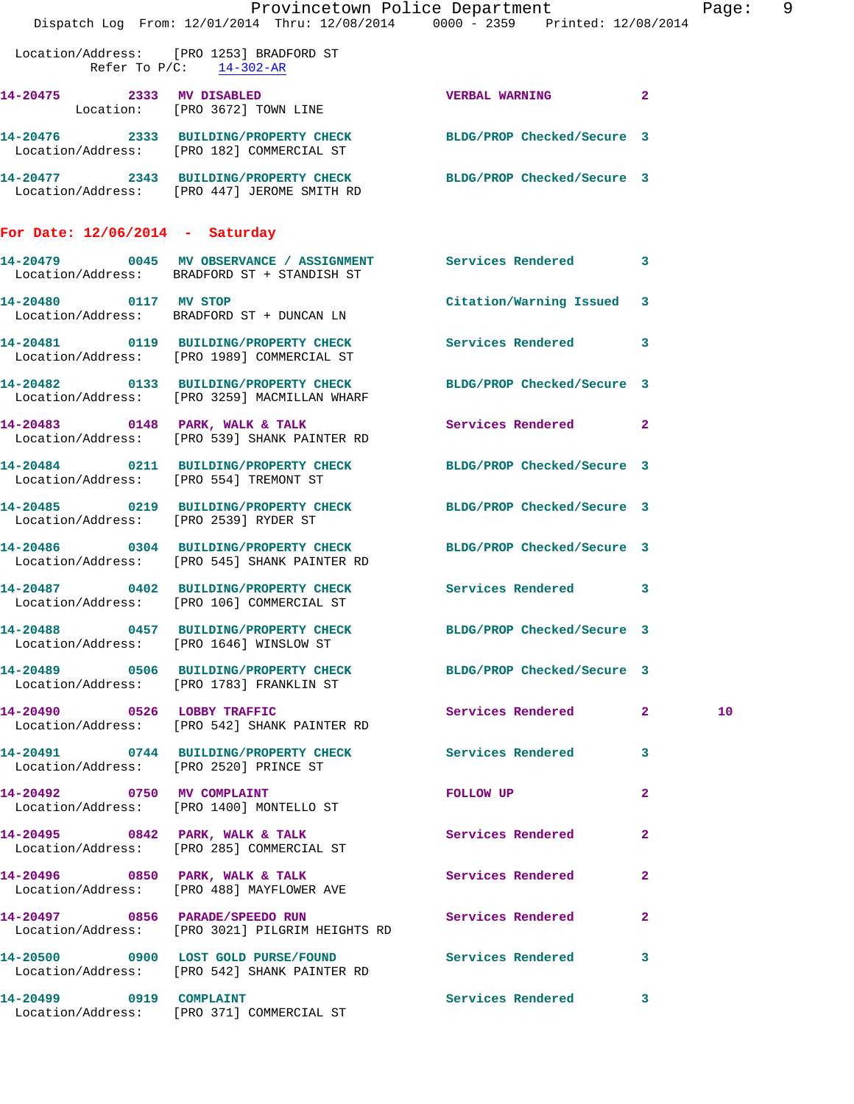|                                        |                                                                                                                  | Provincetown Police Department                                                                                  |                | Page: | 9 |
|----------------------------------------|------------------------------------------------------------------------------------------------------------------|-----------------------------------------------------------------------------------------------------------------|----------------|-------|---|
|                                        | Dispatch Log From: 12/01/2014 Thru: 12/08/2014 0000 - 2359 Printed: 12/08/2014                                   |                                                                                                                 |                |       |   |
| Refer To $P/C$ : $14-302-AR$           | Location/Address: [PRO 1253] BRADFORD ST                                                                         |                                                                                                                 |                |       |   |
|                                        | 14-20475 2333 MV DISABLED<br>Location: [PRO 3672] TOWN LINE                                                      | <b>VERBAL WARNING 2</b>                                                                                         |                |       |   |
|                                        | 14-20476 2333 BUILDING/PROPERTY CHECK BLDG/PROP Checked/Secure 3<br>Location/Address: [PRO 182] COMMERCIAL ST    |                                                                                                                 |                |       |   |
|                                        | 14-20477 2343 BUILDING/PROPERTY CHECK BLDG/PROP Checked/Secure 3<br>Location/Address: [PRO 447] JEROME SMITH RD  |                                                                                                                 |                |       |   |
| For Date: $12/06/2014$ - Saturday      |                                                                                                                  |                                                                                                                 |                |       |   |
|                                        | 14-20479 0045 MV OBSERVANCE / ASSIGNMENT Services Rendered 3<br>Location/Address: BRADFORD ST + STANDISH ST      |                                                                                                                 |                |       |   |
| 14-20480 0117 MV STOP                  | Location/Address: BRADFORD ST + DUNCAN LN                                                                        | Citation/Warning Issued 3                                                                                       |                |       |   |
|                                        | 14-20481 0119 BUILDING/PROPERTY CHECK<br>Location/Address: [PRO 1989] COMMERCIAL ST                              | Services Rendered 3                                                                                             |                |       |   |
|                                        | 14-20482 0133 BUILDING/PROPERTY CHECK BLDG/PROP Checked/Secure 3<br>Location/Address: [PRO 3259] MACMILLAN WHARF |                                                                                                                 |                |       |   |
|                                        | 14-20483 0148 PARK, WALK & TALK<br>Location/Address: [PRO 539] SHANK PAINTER RD                                  | Services Rendered 2                                                                                             |                |       |   |
|                                        | 14-20484 0211 BUILDING/PROPERTY CHECK BLDG/PROP Checked/Secure 3<br>Location/Address: [PRO 554] TREMONT ST       |                                                                                                                 |                |       |   |
|                                        | 14-20485 0219 BUILDING/PROPERTY CHECK BLDG/PROP Checked/Secure 3<br>Location/Address: [PRO 2539] RYDER ST        |                                                                                                                 |                |       |   |
|                                        | 14-20486 0304 BUILDING/PROPERTY CHECK BLDG/PROP Checked/Secure 3<br>Location/Address: [PRO 545] SHANK PAINTER RD |                                                                                                                 |                |       |   |
|                                        | 14-20487 0402 BUILDING/PROPERTY CHECK Services Rendered 3<br>Location/Address: [PRO 106] COMMERCIAL ST           |                                                                                                                 |                |       |   |
|                                        | 14-20488 0457 BUILDING/PROPERTY CHECK BLDG/PROP Checked/Secure 3<br>Location/Address: [PRO 1646] WINSLOW ST      |                                                                                                                 |                |       |   |
|                                        | 14-20489 0506 BUILDING/PROPERTY CHECK BLDG/PROP Checked/Secure 3<br>Location/Address: [PRO 1783] FRANKLIN ST     |                                                                                                                 |                |       |   |
|                                        | 14-20490 0526 LOBBY TRAFFIC<br>Location/Address: [PRO 542] SHANK PAINTER RD                                      | Services Rendered 2                                                                                             |                | 10    |   |
| Location/Address: [PRO 2520] PRINCE ST | 14-20491 0744 BUILDING/PROPERTY CHECK Services Rendered 3                                                        |                                                                                                                 |                |       |   |
| 14-20492 0750 MV COMPLAINT             | Location/Address: [PRO 1400] MONTELLO ST                                                                         | FOLLOW UP AND THE STATE OF THE STATE OF THE STATE OF THE STATE OF THE STATE OF THE STATE OF THE STATE OF THE ST | $\mathbf{2}$   |       |   |
|                                        | 14-20495 0842 PARK, WALK & TALK<br>Location/Address: [PRO 285] COMMERCIAL ST                                     | Services Rendered                                                                                               | $\mathbf{2}$   |       |   |
|                                        | 14-20496 0850 PARK, WALK & TALK<br>Location/Address: [PRO 488] MAYFLOWER AVE                                     | Services Rendered                                                                                               | $\mathbf{2}$   |       |   |
|                                        | 14-20497 0856 PARADE/SPEEDO RUN<br>Location/Address: [PRO 3021] PILGRIM HEIGHTS RD                               | Services Rendered                                                                                               | $\overline{2}$ |       |   |
|                                        | 14-20500 0900 LOST GOLD PURSE/FOUND<br>Location/Address: [PRO 542] SHANK PAINTER RD                              | <b>Services Rendered</b>                                                                                        | 3              |       |   |
| 14-20499 0919 COMPLAINT                |                                                                                                                  | Services Rendered 3                                                                                             |                |       |   |

Location/Address: [PRO 371] COMMERCIAL ST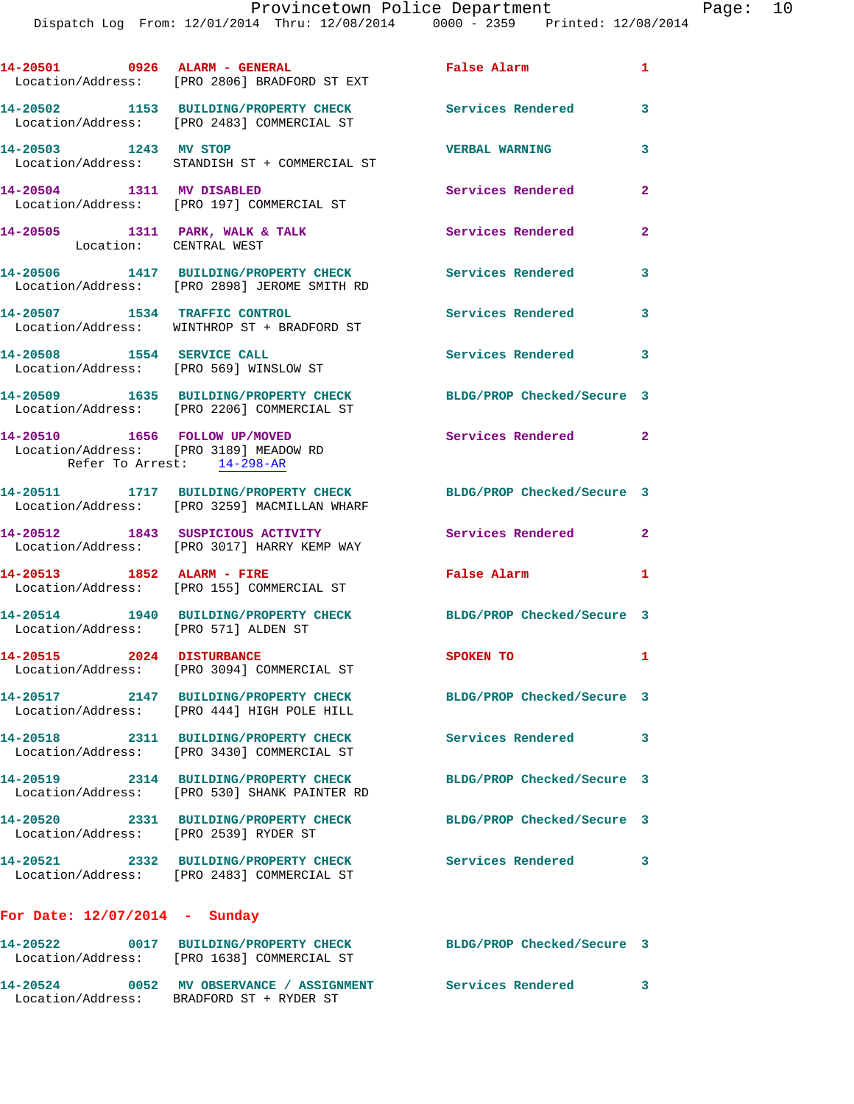Dispatch Log From: 12/01/2014 Thru: 12/08/2014 0000 - 2359 Printed: 12/08/2014

|                                                                                                       | 14-20501 0926 ALARM - GENERAL<br>Location/Address: [PRO 2806] BRADFORD ST EXT         | False Alarm                | $\mathbf{1}$   |
|-------------------------------------------------------------------------------------------------------|---------------------------------------------------------------------------------------|----------------------------|----------------|
|                                                                                                       | 14-20502 1153 BUILDING/PROPERTY CHECK<br>Location/Address: [PRO 2483] COMMERCIAL ST   | Services Rendered          | 3              |
| 14-20503 1243 MV STOP                                                                                 | Location/Address: STANDISH ST + COMMERCIAL ST                                         | <b>VERBAL WARNING</b>      | 3              |
| 14-20504 1311 MV DISABLED                                                                             | Location/Address: [PRO 197] COMMERCIAL ST                                             | Services Rendered          | $\overline{2}$ |
| 14-20505 1311 PARK, WALK & TALK<br>Location: CENTRAL WEST                                             |                                                                                       | <b>Services Rendered</b>   | $\mathbf{2}$   |
|                                                                                                       | 14-20506 1417 BUILDING/PROPERTY CHECK<br>Location/Address: [PRO 2898] JEROME SMITH RD | <b>Services Rendered</b>   | 3              |
|                                                                                                       | 14-20507 1534 TRAFFIC CONTROL<br>Location/Address: WINTHROP ST + BRADFORD ST          | <b>Services Rendered</b>   | $\mathbf{3}$   |
| 14-20508 1554 SERVICE CALL                                                                            | Location/Address: [PRO 569] WINSLOW ST                                                | Services Rendered 3        |                |
|                                                                                                       | 14-20509 1635 BUILDING/PROPERTY CHECK<br>Location/Address: [PRO 2206] COMMERCIAL ST   | BLDG/PROP Checked/Secure 3 |                |
| 14-20510 1656 FOLLOW UP/MOVED<br>Location/Address: [PRO 3189] MEADOW RD<br>Refer To Arrest: 14-298-AR |                                                                                       | Services Rendered 2        |                |
|                                                                                                       | 14-20511 1717 BUILDING/PROPERTY CHECK<br>Location/Address: [PRO 3259] MACMILLAN WHARF | BLDG/PROP Checked/Secure 3 |                |
|                                                                                                       | 14-20512 1843 SUSPICIOUS ACTIVITY<br>Location/Address: [PRO 3017] HARRY KEMP WAY      | Services Rendered          | $\mathbf{2}$   |
|                                                                                                       | 14-20513 1852 ALARM - FIRE<br>Location/Address: [PRO 155] COMMERCIAL ST               | False Alarm                | $\mathbf{1}$   |
| Location/Address: [PRO 571] ALDEN ST                                                                  | 14-20514 1940 BUILDING/PROPERTY CHECK                                                 | BLDG/PROP Checked/Secure 3 |                |
| 14-20515 2024 DISTURBANCE                                                                             | Location/Address: [PRO 3094] COMMERCIAL ST                                            | <b>SPOKEN TO</b>           | $\mathbf{1}$   |
|                                                                                                       | 14-20517 2147 BUILDING/PROPERTY CHECK<br>Location/Address: [PRO 444] HIGH POLE HILL   | BLDG/PROP Checked/Secure 3 |                |
|                                                                                                       | 14-20518 2311 BUILDING/PROPERTY CHECK<br>Location/Address: [PRO 3430] COMMERCIAL ST   | Services Rendered          | 3              |
|                                                                                                       | 14-20519 2314 BUILDING/PROPERTY CHECK<br>Location/Address: [PRO 530] SHANK PAINTER RD | BLDG/PROP Checked/Secure 3 |                |
| Location/Address: [PRO 2539] RYDER ST                                                                 | 14-20520 2331 BUILDING/PROPERTY CHECK                                                 | BLDG/PROP Checked/Secure 3 |                |
|                                                                                                       | 14-20521 2332 BUILDING/PROPERTY CHECK<br>Location/Address: [PRO 2483] COMMERCIAL ST   | Services Rendered 3        |                |
| For Date: $12/07/2014$ - Sunday                                                                       |                                                                                       |                            |                |
|                                                                                                       | Location/Address: [PRO 1638] COMMERCIAL ST                                            | BLDG/PROP Checked/Secure 3 |                |
|                                                                                                       | 14-20524 0052 MV OBSERVANCE / ASSIGNMENT<br>Location/Address: BRADFORD ST + RYDER ST  | <b>Services Rendered</b>   | 3              |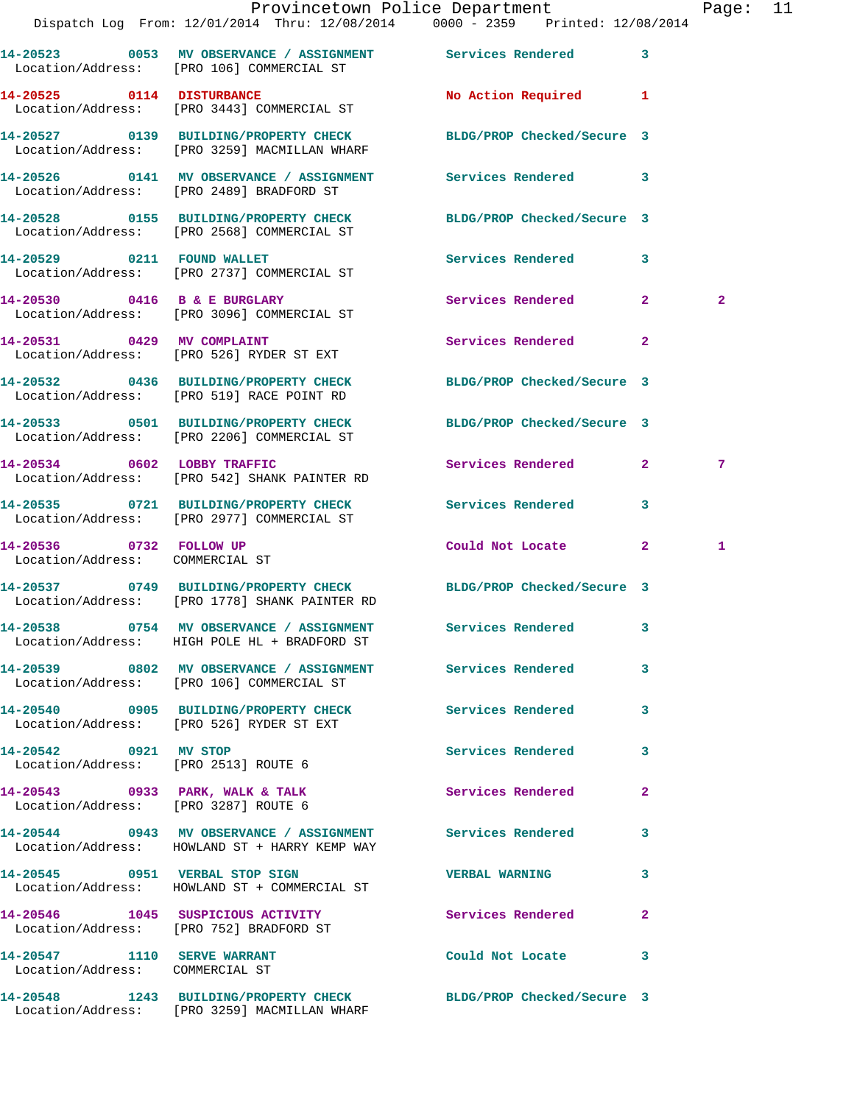|                                                                |                                                                                                             | Provincetown Police Department<br>Dispatch Log From: 12/01/2014 Thru: 12/08/2014 0000 - 2359 Printed: 12/08/2014       | Page: 11       |
|----------------------------------------------------------------|-------------------------------------------------------------------------------------------------------------|------------------------------------------------------------------------------------------------------------------------|----------------|
|                                                                | Location/Address: [PRO 106] COMMERCIAL ST                                                                   | 14-20523 0053 MV OBSERVANCE / ASSIGNMENT Services Rendered 3                                                           |                |
|                                                                | 14-20525 0114 DISTURBANCE<br>Location/Address: [PRO 3443] COMMERCIAL ST                                     | No Action Required 1                                                                                                   |                |
|                                                                |                                                                                                             | 14-20527   0139   BUILDING/PROPERTY CHECK   BLDG/PROP Checked/Secure 3<br>Location/Address: [PRO 3259] MACMILLAN WHARF |                |
|                                                                | Location/Address: [PRO 2489] BRADFORD ST                                                                    | 14-20526 0141 MV OBSERVANCE / ASSIGNMENT Services Rendered 3                                                           |                |
|                                                                | Location/Address: [PRO 2568] COMMERCIAL ST                                                                  | 14-20528 0155 BUILDING/PROPERTY CHECK BLDG/PROP Checked/Secure 3                                                       |                |
|                                                                | 14-20529 0211 FOUND WALLET<br>Location/Address: [PRO 2737] COMMERCIAL ST                                    | Services Rendered 3                                                                                                    |                |
|                                                                | 14-20530 0416 B & E BURGLARY<br>Location/Address: [PRO 3096] COMMERCIAL ST                                  | Services Rendered 2                                                                                                    | $\overline{2}$ |
|                                                                | 14-20531 0429 MV COMPLAINT<br>Location/Address: [PRO 526] RYDER ST EXT                                      | Services Rendered<br>$\overline{2}$                                                                                    |                |
|                                                                | Location/Address: [PRO 519] RACE POINT RD                                                                   | 14-20532 0436 BUILDING/PROPERTY CHECK BLDG/PROP Checked/Secure 3                                                       |                |
|                                                                | Location/Address: [PRO 2206] COMMERCIAL ST                                                                  | 14-20533 0501 BUILDING/PROPERTY CHECK BLDG/PROP Checked/Secure 3                                                       |                |
|                                                                | 14-20534 0602 LOBBY TRAFFIC<br>Location/Address: [PRO 542] SHANK PAINTER RD                                 | Services Rendered 2                                                                                                    | 7              |
|                                                                | 14-20535 0721 BUILDING/PROPERTY CHECK<br>Location/Address: [PRO 2977] COMMERCIAL ST                         | <b>Services Rendered</b><br>$\mathbf{3}$                                                                               |                |
| 14-20536 0732 FOLLOW UP<br>Location/Address: COMMERCIAL ST     |                                                                                                             | Could Not Locate 2                                                                                                     | 1              |
|                                                                | Location/Address: [PRO 1778] SHANK PAINTER RD                                                               | 14-20537 0749 BUILDING/PROPERTY CHECK BLDG/PROP Checked/Secure 3                                                       |                |
|                                                                | Location/Address: HIGH POLE HL + BRADFORD ST                                                                | 14-20538 0754 MV OBSERVANCE / ASSIGNMENT Services Rendered 3                                                           |                |
|                                                                | 14-20539 0802 MV OBSERVANCE / ASSIGNMENT Services Rendered<br>Location/Address: [PRO 106] COMMERCIAL ST     | $\mathbf{3}$                                                                                                           |                |
|                                                                | 14-20540 0905 BUILDING/PROPERTY CHECK<br>Location/Address: [PRO 526] RYDER ST EXT                           | Services Rendered 3                                                                                                    |                |
| 14-20542 0921 MV STOP<br>Location/Address: [PRO 2513] ROUTE 6  |                                                                                                             | Services Rendered<br>3                                                                                                 |                |
| Location/Address: [PRO 3287] ROUTE 6                           | 14-20543 0933 PARK, WALK & TALK                                                                             | Services Rendered<br>$\mathbf{2}$                                                                                      |                |
|                                                                | 14-20544 0943 MV OBSERVANCE / ASSIGNMENT Services Rendered<br>Location/Address: HOWLAND ST + HARRY KEMP WAY | 3                                                                                                                      |                |
|                                                                | 14-20545 0951 VERBAL STOP SIGN<br>Location/Address: HOWLAND ST + COMMERCIAL ST                              | <b>VERBAL WARNING</b><br>3                                                                                             |                |
|                                                                | 14-20546 1045 SUSPICIOUS ACTIVITY<br>Location/Address: [PRO 752] BRADFORD ST                                | <b>Services Rendered</b><br>$\mathbf{2}$                                                                               |                |
| 14-20547 1110 SERVE WARRANT<br>Location/Address: COMMERCIAL ST |                                                                                                             | Could Not Locate 3                                                                                                     |                |
|                                                                |                                                                                                             | 14-20548 1243 BUILDING/PROPERTY CHECK BLDG/PROP Checked/Secure 3                                                       |                |

Location/Address: [PRO 3259] MACMILLAN WHARF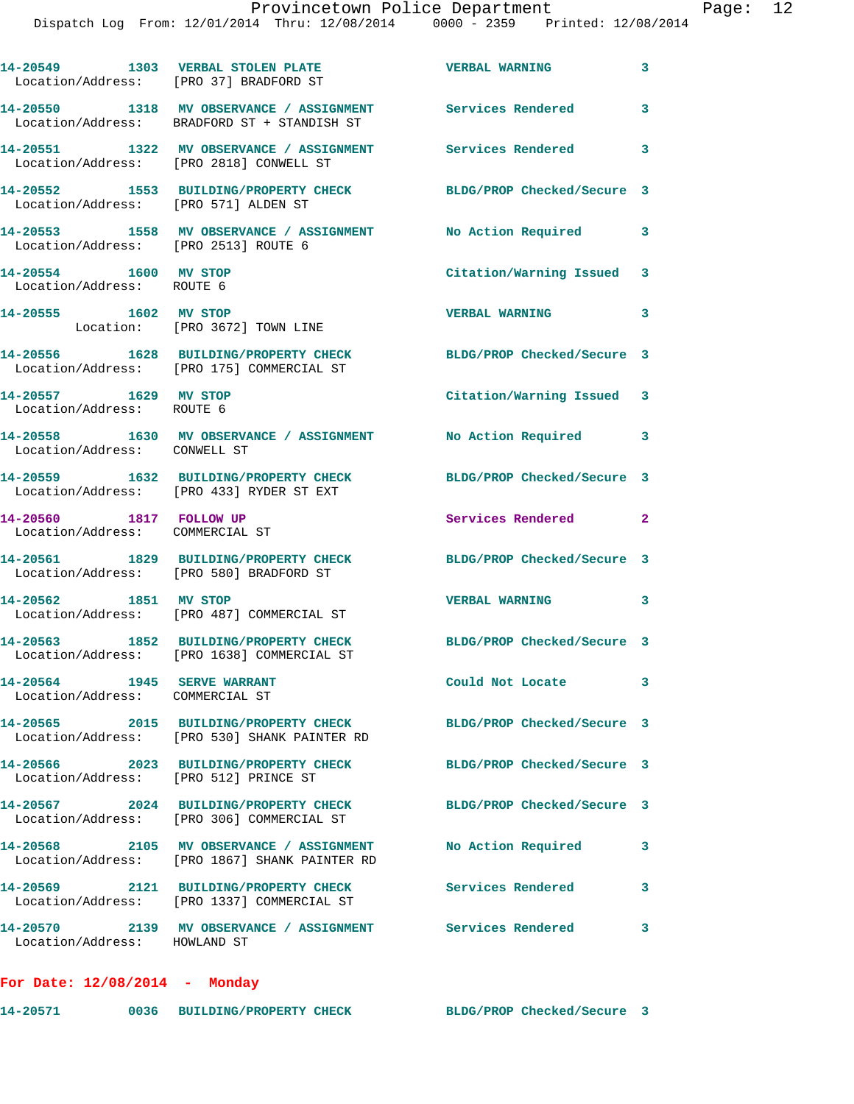| Location/Address: [PRO 37] BRADFORD ST                     | 14-20549 1303 VERBAL STOLEN PLATE                                                                         | <b>VERBAL WARNING</b>      | 3                       |
|------------------------------------------------------------|-----------------------------------------------------------------------------------------------------------|----------------------------|-------------------------|
|                                                            | 14-20550 1318 MV OBSERVANCE / ASSIGNMENT Services Rendered<br>Location/Address: BRADFORD ST + STANDISH ST |                            | $\overline{\mathbf{3}}$ |
|                                                            | 14-20551 1322 MV OBSERVANCE / ASSIGNMENT Services Rendered<br>Location/Address: [PRO 2818] CONWELL ST     |                            | 3                       |
| Location/Address: [PRO 571] ALDEN ST                       | 14-20552 1553 BUILDING/PROPERTY CHECK                                                                     | BLDG/PROP Checked/Secure 3 |                         |
| Location/Address: [PRO 2513] ROUTE 6                       | 14-20553 1558 MV OBSERVANCE / ASSIGNMENT No Action Required                                               |                            | 3                       |
| 14-20554 1600 MV STOP<br>Location/Address: ROUTE 6         |                                                                                                           | Citation/Warning Issued 3  |                         |
| 14-20555 1602 MV STOP                                      | Location: [PRO 3672] TOWN LINE                                                                            | <b>VERBAL WARNING</b>      | 3                       |
|                                                            | 14-20556 1628 BUILDING/PROPERTY CHECK<br>Location/Address: [PRO 175] COMMERCIAL ST                        | BLDG/PROP Checked/Secure 3 |                         |
| 14-20557 1629 MV STOP<br>Location/Address: ROUTE 6         |                                                                                                           | Citation/Warning Issued 3  |                         |
| Location/Address: CONWELL ST                               | 14-20558 1630 MV OBSERVANCE / ASSIGNMENT                                                                  | No Action Required 3       |                         |
|                                                            | 14-20559 1632 BUILDING/PROPERTY CHECK<br>Location/Address: [PRO 433] RYDER ST EXT                         | BLDG/PROP Checked/Secure 3 |                         |
| 14-20560 1817 FOLLOW UP<br>Location/Address: COMMERCIAL ST |                                                                                                           | Services Rendered 2        |                         |
|                                                            | 14-20561 1829 BUILDING/PROPERTY CHECK<br>Location/Address: [PRO 580] BRADFORD ST                          | BLDG/PROP Checked/Secure 3 |                         |
| 14-20562 1851 MV STOP                                      | Location/Address: [PRO 487] COMMERCIAL ST                                                                 | <b>VERBAL WARNING</b>      | 3                       |
|                                                            | 14-20563 1852 BUILDING/PROPERTY CHECK<br>Location/Address: [PRO 1638] COMMERCIAL ST                       | BLDG/PROP Checked/Secure 3 |                         |
| 14-20564<br>Location/Address: COMMERCIAL ST                | 1945 SERVE WARRANT                                                                                        | Could Not Locate           | 3                       |
|                                                            | 14-20565 2015 BUILDING/PROPERTY CHECK<br>Location/Address: [PRO 530] SHANK PAINTER RD                     | BLDG/PROP Checked/Secure 3 |                         |
| Location/Address: [PRO 512] PRINCE ST                      | 14-20566 2023 BUILDING/PROPERTY CHECK                                                                     | BLDG/PROP Checked/Secure 3 |                         |
|                                                            | 14-20567 2024 BUILDING/PROPERTY CHECK<br>Location/Address: [PRO 306] COMMERCIAL ST                        | BLDG/PROP Checked/Secure 3 |                         |
|                                                            | 14-20568 2105 MV OBSERVANCE / ASSIGNMENT<br>Location/Address: [PRO 1867] SHANK PAINTER RD                 | No Action Required         | 3                       |
|                                                            | 14-20569 2121 BUILDING/PROPERTY CHECK<br>Location/Address: [PRO 1337] COMMERCIAL ST                       | Services Rendered          | 3                       |
| Location/Address: HOWLAND ST                               | 14-20570 2139 MV OBSERVANCE / ASSIGNMENT Services Rendered                                                |                            | 3                       |
| For Date: $12/08/2014$ - Monday                            |                                                                                                           |                            |                         |

**14-20571 0036 BUILDING/PROPERTY CHECK BLDG/PROP Checked/Secure 3**